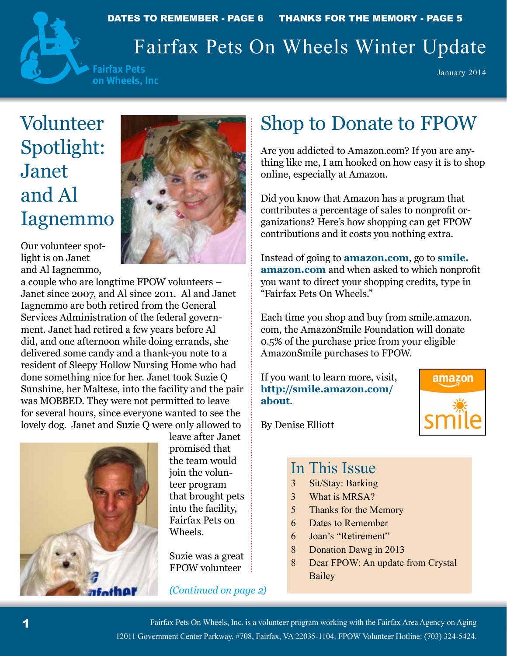

DATES TO REMEMBER - PAGE 6 THANKS FOR THE MEMORY - PAGE 5

# Fairfax Pets On Wheels Winter Update

**Fairfax Pets** on Wheels, Inc

January 2014

# Volunteer Spotlight: Janet and Al Iagnemmo

Our volunteer spotlight is on Janet and Al Iagnemmo,



a couple who are longtime FPOW volunteers – Janet since 2007, and Al since 2011. Al and Janet Iagnemmo are both retired from the General Services Administration of the federal government. Janet had retired a few years before Al did, and one afternoon while doing errands, she delivered some candy and a thank-you note to a resident of Sleepy Hollow Nursing Home who had done something nice for her. Janet took Suzie Q Sunshine, her Maltese, into the facility and the pair was MOBBED. They were not permitted to leave for several hours, since everyone wanted to see the lovely dog. Janet and Suzie Q were only allowed to



leave after Janet promised that the team would join the volunteer program that brought pets into the facility, Fairfax Pets on Wheels.

Suzie was a great FPOW volunteer

#### *(Continued on page 2)*

# Shop to Donate to FPOW

Are you addicted to Amazon.com? If you are anything like me, I am hooked on how easy it is to shop online, especially at Amazon.

Did you know that Amazon has a program that contributes a percentage of sales to nonprofit organizations? Here's how shopping can get FPOW contributions and it costs you nothing extra.

Instead of going to **amazon.com**, go to **smile. amazon.com** and when asked to which nonprofit you want to direct your shopping credits, type in "Fairfax Pets On Wheels."

Each time you shop and buy from smile.amazon. com, the AmazonSmile Foundation will donate 0.5% of the purchase price from your eligible AmazonSmile purchases to FPOW.

If you want to learn more, visit, **http://smile.amazon.com/ about**.



By Denise Elliott

#### In This Issue

- 3 Sit/Stay: Barking
- 3 What is MRSA?
- 5 Thanks for the Memory
- 6 Dates to Remember
- 6 Joan's "Retirement"
- 8 Donation Dawg in 2013
- 8 Dear FPOW: An update from Crystal Bailey

Fairfax Pets On Wheels, Inc. is a volunteer program working with the Fairfax Area Agency on Aging 12011 Government Center Parkway, #708, Fairfax, VA 22035-1104. FPOW Volunteer Hotline: (703) 324-5424.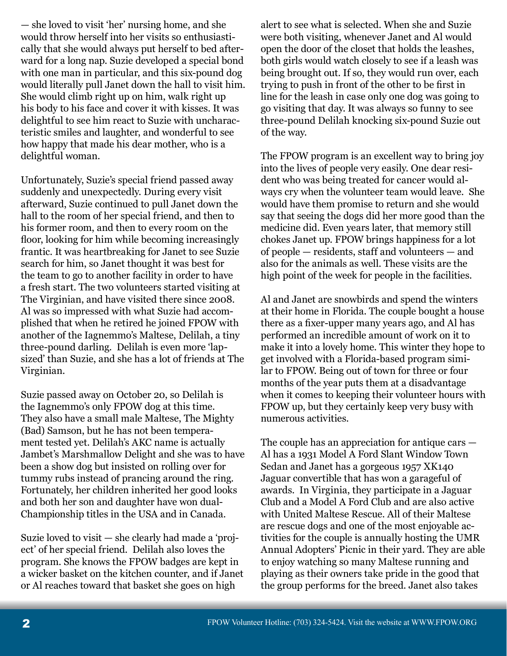— she loved to visit 'her' nursing home, and she would throw herself into her visits so enthusiastically that she would always put herself to bed afterward for a long nap. Suzie developed a special bond with one man in particular, and this six-pound dog would literally pull Janet down the hall to visit him. She would climb right up on him, walk right up his body to his face and cover it with kisses. It was delightful to see him react to Suzie with uncharacteristic smiles and laughter, and wonderful to see how happy that made his dear mother, who is a delightful woman.

Unfortunately, Suzie's special friend passed away suddenly and unexpectedly. During every visit afterward, Suzie continued to pull Janet down the hall to the room of her special friend, and then to his former room, and then to every room on the floor, looking for him while becoming increasingly frantic. It was heartbreaking for Janet to see Suzie search for him, so Janet thought it was best for the team to go to another facility in order to have a fresh start. The two volunteers started visiting at The Virginian, and have visited there since 2008. Al was so impressed with what Suzie had accomplished that when he retired he joined FPOW with another of the Iagnemmo's Maltese, Delilah, a tiny three-pound darling. Delilah is even more 'lapsized' than Suzie, and she has a lot of friends at The Virginian.

Suzie passed away on October 20, so Delilah is the Iagnemmo's only FPOW dog at this time. They also have a small male Maltese, The Mighty (Bad) Samson, but he has not been temperament tested yet. Delilah's AKC name is actually Jambet's Marshmallow Delight and she was to have been a show dog but insisted on rolling over for tummy rubs instead of prancing around the ring. Fortunately, her children inherited her good looks and both her son and daughter have won dual-Championship titles in the USA and in Canada.

Suzie loved to visit — she clearly had made a 'project' of her special friend. Delilah also loves the program. She knows the FPOW badges are kept in a wicker basket on the kitchen counter, and if Janet or Al reaches toward that basket she goes on high

alert to see what is selected. When she and Suzie were both visiting, whenever Janet and Al would open the door of the closet that holds the leashes, both girls would watch closely to see if a leash was being brought out. If so, they would run over, each trying to push in front of the other to be first in line for the leash in case only one dog was going to go visiting that day. It was always so funny to see three-pound Delilah knocking six-pound Suzie out of the way.

The FPOW program is an excellent way to bring joy into the lives of people very easily. One dear resident who was being treated for cancer would always cry when the volunteer team would leave. She would have them promise to return and she would say that seeing the dogs did her more good than the medicine did. Even years later, that memory still chokes Janet up. FPOW brings happiness for a lot of people — residents, staff and volunteers — and also for the animals as well. These visits are the high point of the week for people in the facilities.

Al and Janet are snowbirds and spend the winters at their home in Florida. The couple bought a house there as a fixer-upper many years ago, and Al has performed an incredible amount of work on it to make it into a lovely home. This winter they hope to get involved with a Florida-based program similar to FPOW. Being out of town for three or four months of the year puts them at a disadvantage when it comes to keeping their volunteer hours with FPOW up, but they certainly keep very busy with numerous activities.

The couple has an appreciation for antique cars — Al has a 1931 Model A Ford Slant Window Town Sedan and Janet has a gorgeous 1957 XK140 Jaguar convertible that has won a garageful of awards. In Virginia, they participate in a Jaguar Club and a Model A Ford Club and are also active with United Maltese Rescue. All of their Maltese are rescue dogs and one of the most enjoyable activities for the couple is annually hosting the UMR Annual Adopters' Picnic in their yard. They are able to enjoy watching so many Maltese running and playing as their owners take pride in the good that the group performs for the breed. Janet also takes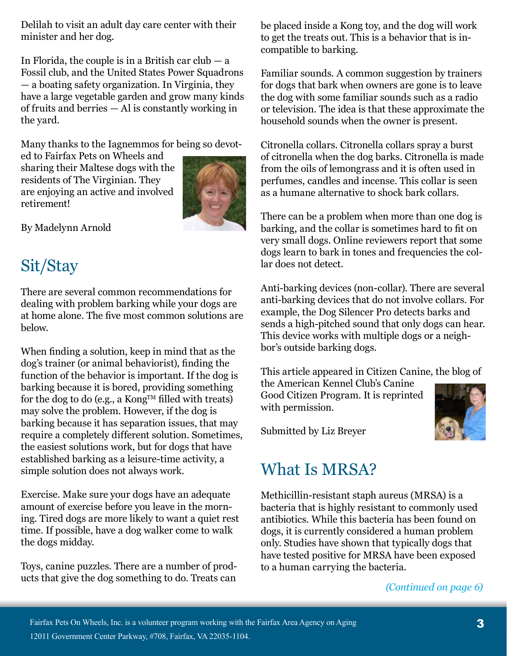Delilah to visit an adult day care center with their minister and her dog.

In Florida, the couple is in a British car club  $-$  a Fossil club, and the United States Power Squadrons — a boating safety organization. In Virginia, they have a large vegetable garden and grow many kinds of fruits and berries — Al is constantly working in the yard.

Many thanks to the Iagnemmos for being so devot-

ed to Fairfax Pets on Wheels and sharing their Maltese dogs with the residents of The Virginian. They are enjoying an active and involved retirement!



By Madelynn Arnold

# Sit/Stay

There are several common recommendations for dealing with problem barking while your dogs are at home alone. The five most common solutions are below.

When finding a solution, keep in mind that as the dog's trainer (or animal behaviorist), finding the function of the behavior is important. If the dog is barking because it is bored, providing something for the dog to do (e.g., a Kong<sup>TM</sup> filled with treats) may solve the problem. However, if the dog is barking because it has separation issues, that may require a completely different solution. Sometimes, the easiest solutions work, but for dogs that have established barking as a leisure-time activity, a simple solution does not always work.

Exercise. Make sure your dogs have an adequate amount of exercise before you leave in the morning. Tired dogs are more likely to want a quiet rest time. If possible, have a dog walker come to walk the dogs midday.

Toys, canine puzzles. There are a number of products that give the dog something to do. Treats can

be placed inside a Kong toy, and the dog will work to get the treats out. This is a behavior that is incompatible to barking.

Familiar sounds. A common suggestion by trainers for dogs that bark when owners are gone is to leave the dog with some familiar sounds such as a radio or television. The idea is that these approximate the household sounds when the owner is present.

Citronella collars. Citronella collars spray a burst of citronella when the dog barks. Citronella is made from the oils of lemongrass and it is often used in perfumes, candles and incense. This collar is seen as a humane alternative to shock bark collars.

There can be a problem when more than one dog is barking, and the collar is sometimes hard to fit on very small dogs. Online reviewers report that some dogs learn to bark in tones and frequencies the collar does not detect.

Anti-barking devices (non-collar). There are several anti-barking devices that do not involve collars. For example, the Dog Silencer Pro detects barks and sends a high-pitched sound that only dogs can hear. This device works with multiple dogs or a neighbor's outside barking dogs.

This article appeared in Citizen Canine, the blog of

the American Kennel Club's Canine Good Citizen Program. It is reprinted with permission.



Submitted by Liz Breyer

# What Is MRSA?

Methicillin-resistant staph aureus (MRSA) is a bacteria that is highly resistant to commonly used antibiotics. While this bacteria has been found on dogs, it is currently considered a human problem only. Studies have shown that typically dogs that have tested positive for MRSA have been exposed to a human carrying the bacteria.

#### *(Continued on page 6)*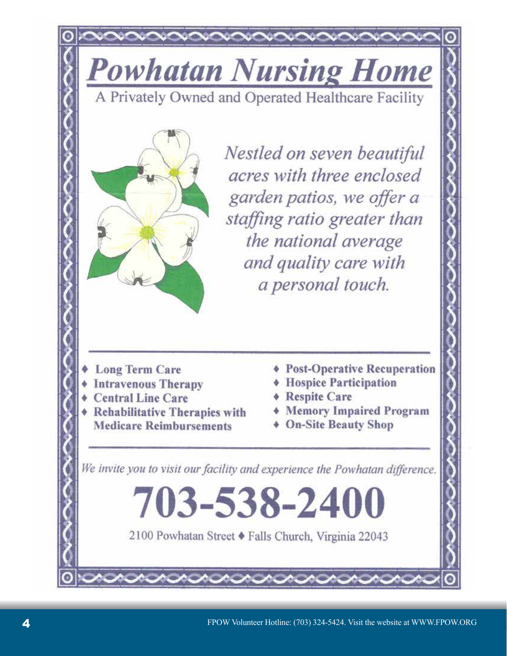**Powhatan Nursing Home** 

A Privately Owned and Operated Healthcare Facility



Nestled on seven beautiful acres with three enclosed garden patios, we offer a staffing ratio greater than the national average and quality care with a personal touch.

- **Long Term Care**
- **Intravenous Therapy**
- **Central Line Care**
- **Rehabilitative Therapies with Medicare Reimbursements**
- **Post-Operative Recuperation**
- **Hospice Participation**
- **Respite Care**
- **\* Memory Impaired Program**
- ♦ On-Site Beauty Shop

We invite you to visit our facility and experience the Powhatan difference.

2100 Powhatan Street § Falls Church, Virginia 22043

703-538-2400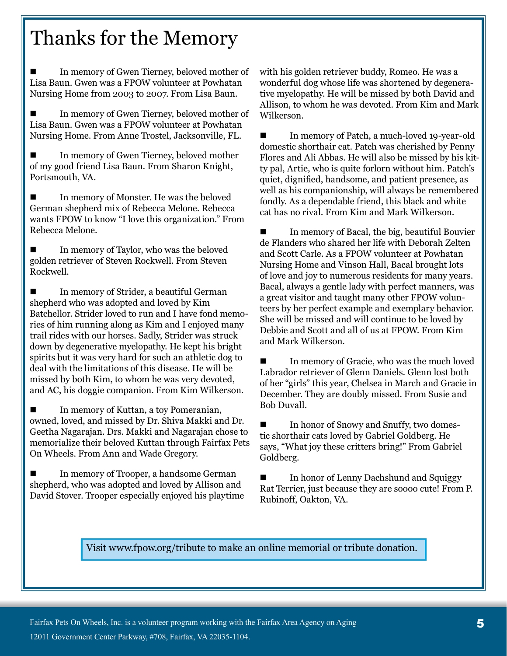# Thanks for the Memory

 In memory of Gwen Tierney, beloved mother of Lisa Baun. Gwen was a FPOW volunteer at Powhatan Nursing Home from 2003 to 2007. From Lisa Baun.

 In memory of Gwen Tierney, beloved mother of Lisa Baun. Gwen was a FPOW volunteer at Powhatan Nursing Home. From Anne Trostel, Jacksonville, FL.

 In memory of Gwen Tierney, beloved mother of my good friend Lisa Baun. From Sharon Knight, Portsmouth, VA.

■ In memory of Monster. He was the beloved German shepherd mix of Rebecca Melone. Rebecca wants FPOW to know "I love this organization." From Rebecca Melone.

 In memory of Taylor, who was the beloved golden retriever of Steven Rockwell. From Steven Rockwell.

■ In memory of Strider, a beautiful German shepherd who was adopted and loved by Kim Batchellor. Strider loved to run and I have fond memories of him running along as Kim and I enjoyed many trail rides with our horses. Sadly, Strider was struck down by degenerative myelopathy. He kept his bright spirits but it was very hard for such an athletic dog to deal with the limitations of this disease. He will be missed by both Kim, to whom he was very devoted, and AC, his doggie companion. From Kim Wilkerson.

■ In memory of Kuttan, a toy Pomeranian, owned, loved, and missed by Dr. Shiva Makki and Dr. Geetha Nagarajan. Drs. Makki and Nagarajan chose to memorialize their beloved Kuttan through Fairfax Pets On Wheels. From Ann and Wade Gregory.

 In memory of Trooper, a handsome German shepherd, who was adopted and loved by Allison and David Stover. Trooper especially enjoyed his playtime with his golden retriever buddy, Romeo. He was a wonderful dog whose life was shortened by degenerative myelopathy. He will be missed by both David and Allison, to whom he was devoted. From Kim and Mark Wilkerson.

 In memory of Patch, a much-loved 19-year-old domestic shorthair cat. Patch was cherished by Penny Flores and Ali Abbas. He will also be missed by his kitty pal, Artie, who is quite forlorn without him. Patch's quiet, dignified, handsome, and patient presence, as well as his companionship, will always be remembered fondly. As a dependable friend, this black and white cat has no rival. From Kim and Mark Wilkerson.

■ In memory of Bacal, the big, beautiful Bouvier de Flanders who shared her life with Deborah Zelten and Scott Carle. As a FPOW volunteer at Powhatan Nursing Home and Vinson Hall, Bacal brought lots of love and joy to numerous residents for many years. Bacal, always a gentle lady with perfect manners, was a great visitor and taught many other FPOW volunteers by her perfect example and exemplary behavior. She will be missed and will continue to be loved by Debbie and Scott and all of us at FPOW. From Kim and Mark Wilkerson.

 In memory of Gracie, who was the much loved Labrador retriever of Glenn Daniels. Glenn lost both of her "girls" this year, Chelsea in March and Gracie in December. They are doubly missed. From Susie and Bob Duvall.

■ In honor of Snowy and Snuffy, two domestic shorthair cats loved by Gabriel Goldberg. He says, "What joy these critters bring!" From Gabriel Goldberg.

 In honor of Lenny Dachshund and Squiggy Rat Terrier, just because they are soooo cute! From P. Rubinoff, Oakton, VA.

#### Visit www.fpow.org/tribute to make an online memorial or tribute donation.

Fairfax Pets On Wheels, Inc. is a volunteer program working with the Fairfax Area Agency on Aging 12011 Government Center Parkway, #708, Fairfax, VA 22035-1104.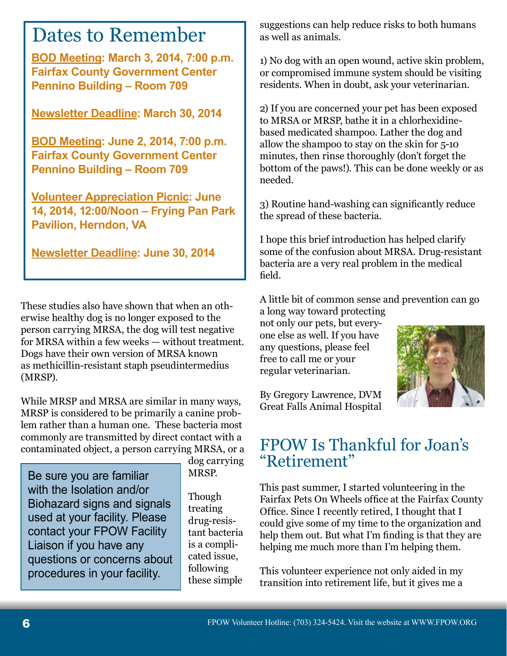**BOD Meeting: March 3, 2014, 7:00 p.m. Fairfax County Government Center Pennino Building – Room 709**

**Newsletter Deadline: March 30, 2014**

**BOD Meeting: June 2, 2014, 7:00 p.m. Fairfax County Government Center Pennino Building – Room 709**

**Volunteer Appreciation Picnic: June 14, 2014, 12:00/Noon – Frying Pan Park Pavilion, Herndon, VA**

**Newsletter Deadline: June 30, 2014**

These studies also have shown that when an otherwise healthy dog is no longer exposed to the person carrying MRSA, the dog will test negative for MRSA within a few weeks — without treatment. Dogs have their own version of MRSA known as methicillin-resistant staph pseudintermedius (MRSP).

While MRSP and MRSA are similar in many ways, MRSP is considered to be primarily a canine problem rather than a human one. These bacteria most commonly are transmitted by direct contact with a contaminated object, a person carrying MRSA, or a

Be sure you are familiar with the Isolation and/or Biohazard signs and signals used at your facility. Please contact your FPOW Facility Liaison if you have any questions or concerns about procedures in your facility.

dog carrying MRSP.

Though treating drug-resistant bacteria is a complicated issue, following these simple

Dates to Remember suggestions can help reduce risks to both humans as well as animals. as well as animals.

> 1) No dog with an open wound, active skin problem, or compromised immune system should be visiting residents. When in doubt, ask your veterinarian.

> 2) If you are concerned your pet has been exposed to MRSA or MRSP, bathe it in a chlorhexidinebased medicated shampoo. Lather the dog and allow the shampoo to stay on the skin for 5-10 minutes, then rinse thoroughly (don't forget the bottom of the paws!). This can be done weekly or as needed.

3) Routine hand-washing can significantly reduce the spread of these bacteria.

I hope this brief introduction has helped clarify some of the confusion about MRSA. Drug-resistant bacteria are a very real problem in the medical field.

A little bit of common sense and prevention can go a long way toward protecting

not only our pets, but everyone else as well. If you have any questions, please feel free to call me or your regular veterinarian.



By Gregory Lawrence, DVM Great Falls Animal Hospital

# FPOW Is Thankful for Joan's "Retirement"

This past summer, I started volunteering in the Fairfax Pets On Wheels office at the Fairfax County Office. Since I recently retired, I thought that I could give some of my time to the organization and help them out. But what I'm finding is that they are helping me much more than I'm helping them.

This volunteer experience not only aided in my transition into retirement life, but it gives me a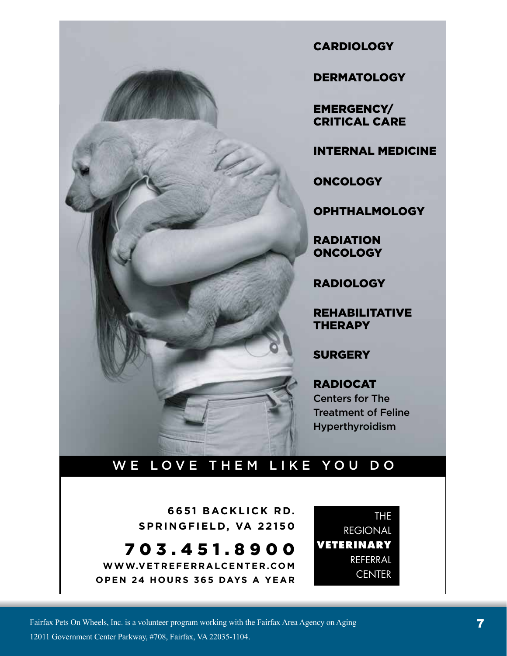

**CARDIOLOGY** 

**DERMATOLOGY** 

**EMERGENCY/ CRITICAL CARE** 

**INTERNAL MEDICINE** 

**ONCOLOGY** 

**OPHTHALMOLOGY** 

**RADIATION ONCOLOGY** 

**RADIOLOGY** 

**REHABILITATIVE THERAPY** 

**SURGERY** 

**RADIOCAT Centers for The Treatment of Feline** Hyperthyroidism

### WE LOVE THEM LIKE YOU DO

6651 BACKLICK RD. SPRINGFIELD, VA 22150

703.451.8900 WWW.VETREFERRALCENTER.COM OPEN 24 HOURS 365 DAYS A YEAR

**THE REGIONAL VETERINARY** REFERRAL **CENTER**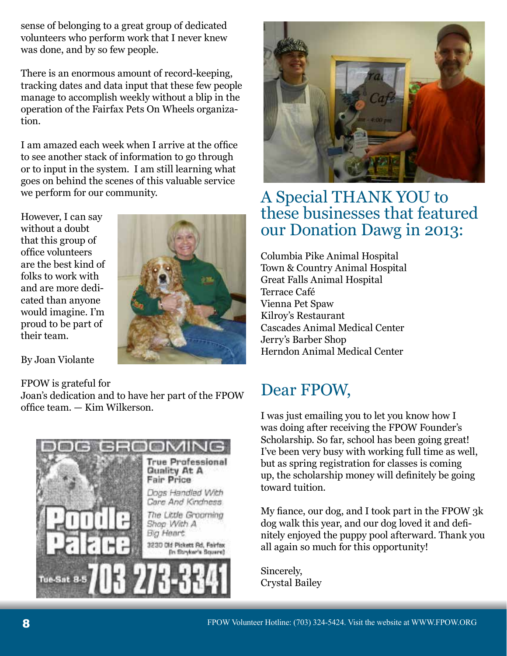sense of belonging to a great group of dedicated volunteers who perform work that I never knew was done, and by so few people.

There is an enormous amount of record-keeping, tracking dates and data input that these few people manage to accomplish weekly without a blip in the operation of the Fairfax Pets On Wheels organization.

I am amazed each week when I arrive at the office to see another stack of information to go through or to input in the system. I am still learning what goes on behind the scenes of this valuable service we perform for our community.

However, I can say without a doubt that this group of office volunteers are the best kind of folks to work with and are more dedicated than anyone would imagine. I'm proud to be part of their team.



By Joan Violante

#### FPOW is grateful for

Joan's dedication and to have her part of the FPOW office team. — Kim Wilkerson.





## A Special THANK YOU to these businesses that featured our Donation Dawg in 2013:

Columbia Pike Animal Hospital Town & Country Animal Hospital Great Falls Animal Hospital Terrace Café Vienna Pet Spaw Kilroy's Restaurant Cascades Animal Medical Center Jerry's Barber Shop Herndon Animal Medical Center

# Dear FPOW,

I was just emailing you to let you know how I was doing after receiving the FPOW Founder's Scholarship. So far, school has been going great! I've been very busy with working full time as well, but as spring registration for classes is coming up, the scholarship money will definitely be going toward tuition.

My fiance, our dog, and I took part in the FPOW 3k dog walk this year, and our dog loved it and definitely enjoyed the puppy pool afterward. Thank you all again so much for this opportunity!

Sincerely, Crystal Bailey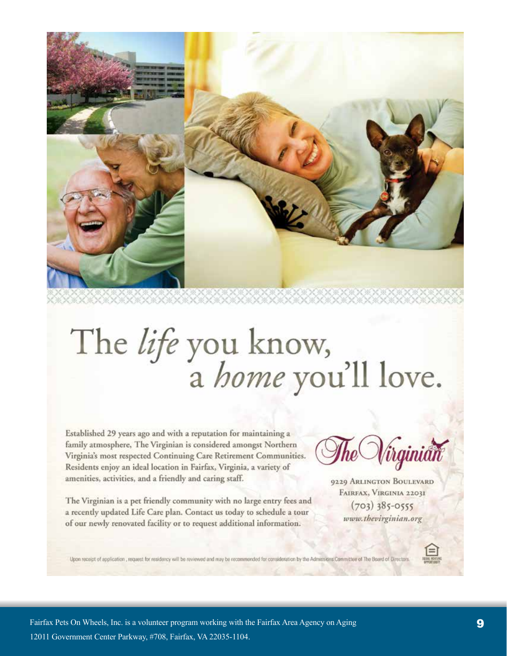

# The life you know,<br>a home you'll love.

Established 29 years ago and with a reputation for maintaining a family atmosphere, The Virginian is considered amongst Northern Virginia's most respected Continuing Care Retirement Communities. Residents enjoy an ideal location in Fairfax, Virginia, a variety of amenities, activities, and a friendly and caring staff.

The Virginian is a pet friendly community with no large entry fees and a recently updated Life Care plan. Contact us today to schedule a tour of our newly renovated facility or to request additional information.

Virginian

9229 ARLINGTON BOULEVARD FAIRFAX, VIRGINIA 22031  $(703)$  385-0555 www.thevirginian.org

Upon receipt of application , request for residency will be reviewed and may be recommended for consideration by the Admissions Committee of The Board of Directors

Fairfax Pets On Wheels, Inc. is a volunteer program working with the Fairfax Area Agency on Aging 12011 Government Center Parkway, #708, Fairfax, VA 22035-1104.